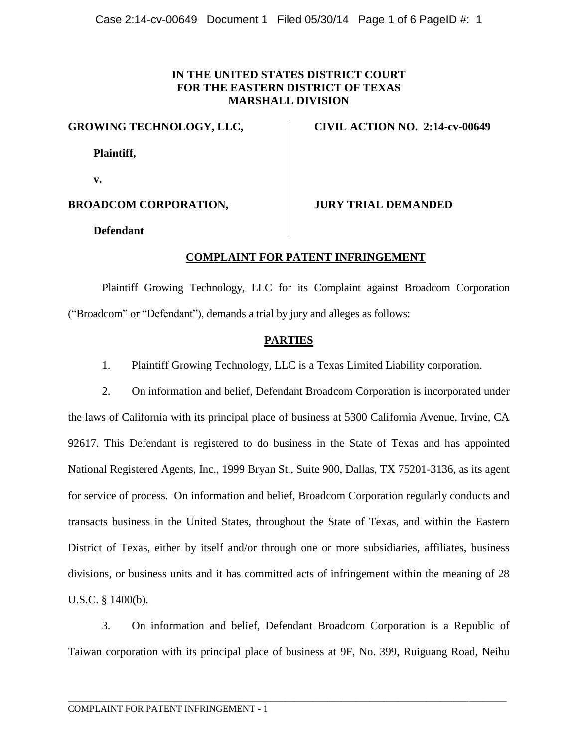### **IN THE UNITED STATES DISTRICT COURT FOR THE EASTERN DISTRICT OF TEXAS MARSHALL DIVISION**

**GROWING TECHNOLOGY, LLC,**

**Plaintiff,**

**v.**

## **BROADCOM CORPORATION,**

**Defendant**

# **CIVIL ACTION NO. 2:14-cv-00649**

**JURY TRIAL DEMANDED**

### **COMPLAINT FOR PATENT INFRINGEMENT**

Plaintiff Growing Technology, LLC for its Complaint against Broadcom Corporation ("Broadcom" or "Defendant"), demands a trial by jury and alleges as follows:

### **PARTIES**

1. Plaintiff Growing Technology, LLC is a Texas Limited Liability corporation.

2. On information and belief, Defendant Broadcom Corporation is incorporated under the laws of California with its principal place of business at 5300 California Avenue, Irvine, CA 92617. This Defendant is registered to do business in the State of Texas and has appointed National Registered Agents, Inc., 1999 Bryan St., Suite 900, Dallas, TX 75201-3136, as its agent for service of process. On information and belief, Broadcom Corporation regularly conducts and transacts business in the United States, throughout the State of Texas, and within the Eastern District of Texas, either by itself and/or through one or more subsidiaries, affiliates, business divisions, or business units and it has committed acts of infringement within the meaning of 28 U.S.C. § 1400(b).

3. On information and belief, Defendant Broadcom Corporation is a Republic of Taiwan corporation with its principal place of business at 9F, No. 399, Ruiguang Road, Neihu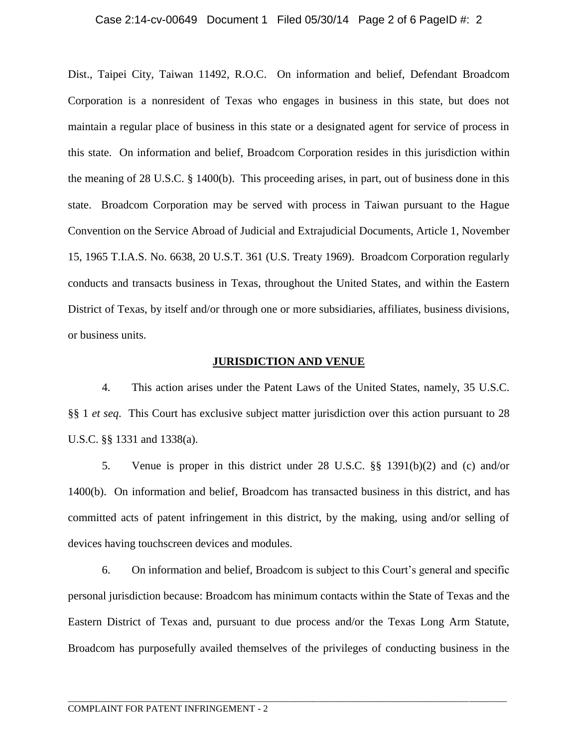#### Case 2:14-cv-00649 Document 1 Filed 05/30/14 Page 2 of 6 PageID #: 2

Dist., Taipei City, Taiwan 11492, R.O.C. On information and belief, Defendant Broadcom Corporation is a nonresident of Texas who engages in business in this state, but does not maintain a regular place of business in this state or a designated agent for service of process in this state. On information and belief, Broadcom Corporation resides in this jurisdiction within the meaning of 28 U.S.C. § 1400(b). This proceeding arises, in part, out of business done in this state. Broadcom Corporation may be served with process in Taiwan pursuant to the Hague Convention on the Service Abroad of Judicial and Extrajudicial Documents, Article 1, November 15, 1965 T.I.A.S. No. 6638, 20 U.S.T. 361 (U.S. Treaty 1969). Broadcom Corporation regularly conducts and transacts business in Texas, throughout the United States, and within the Eastern District of Texas, by itself and/or through one or more subsidiaries, affiliates, business divisions, or business units.

#### **JURISDICTION AND VENUE**

4. This action arises under the Patent Laws of the United States, namely, 35 U.S.C. §§ 1 *et seq*. This Court has exclusive subject matter jurisdiction over this action pursuant to 28 U.S.C. §§ 1331 and 1338(a).

5. Venue is proper in this district under 28 U.S.C. §§ 1391(b)(2) and (c) and/or 1400(b). On information and belief, Broadcom has transacted business in this district, and has committed acts of patent infringement in this district, by the making, using and/or selling of devices having touchscreen devices and modules.

6. On information and belief, Broadcom is subject to this Court's general and specific personal jurisdiction because: Broadcom has minimum contacts within the State of Texas and the Eastern District of Texas and, pursuant to due process and/or the Texas Long Arm Statute, Broadcom has purposefully availed themselves of the privileges of conducting business in the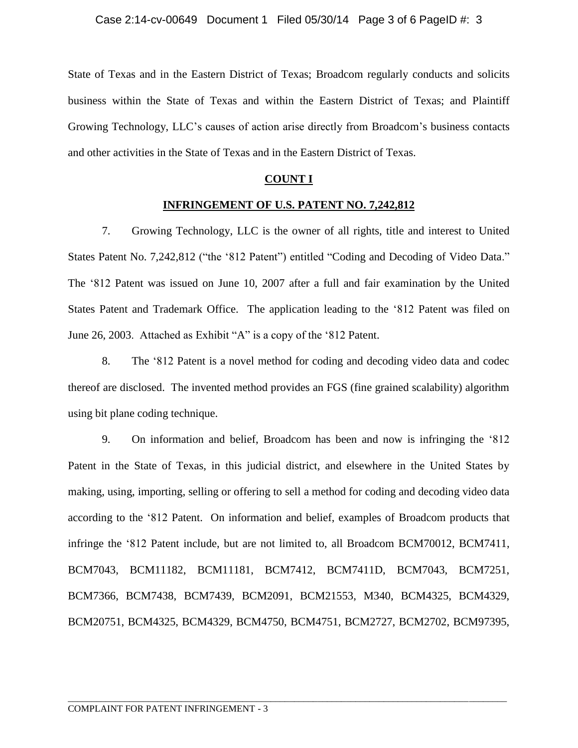State of Texas and in the Eastern District of Texas; Broadcom regularly conducts and solicits business within the State of Texas and within the Eastern District of Texas; and Plaintiff Growing Technology, LLC's causes of action arise directly from Broadcom's business contacts and other activities in the State of Texas and in the Eastern District of Texas.

#### **COUNT I**

#### **INFRINGEMENT OF U.S. PATENT NO. 7,242,812**

7. Growing Technology, LLC is the owner of all rights, title and interest to United States Patent No. 7,242,812 ("the '812 Patent") entitled "Coding and Decoding of Video Data." The '812 Patent was issued on June 10, 2007 after a full and fair examination by the United States Patent and Trademark Office. The application leading to the '812 Patent was filed on June 26, 2003. Attached as Exhibit "A" is a copy of the '812 Patent.

8. The '812 Patent is a novel method for coding and decoding video data and codec thereof are disclosed. The invented method provides an FGS (fine grained scalability) algorithm using bit plane coding technique.

9. On information and belief, Broadcom has been and now is infringing the '812 Patent in the State of Texas, in this judicial district, and elsewhere in the United States by making, using, importing, selling or offering to sell a method for coding and decoding video data according to the '812 Patent. On information and belief, examples of Broadcom products that infringe the '812 Patent include, but are not limited to, all Broadcom BCM70012, BCM7411, BCM7043, BCM11182, BCM11181, BCM7412, BCM7411D, BCM7043, BCM7251, BCM7366, BCM7438, BCM7439, BCM2091, BCM21553, M340, BCM4325, BCM4329, BCM20751, BCM4325, BCM4329, BCM4750, BCM4751, BCM2727, BCM2702, BCM97395,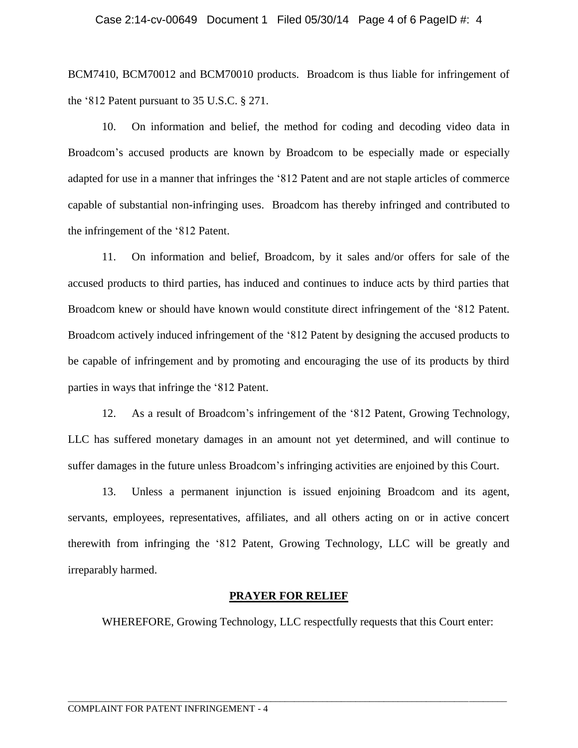#### Case 2:14-cv-00649 Document 1 Filed 05/30/14 Page 4 of 6 PageID #: 4

BCM7410, BCM70012 and BCM70010 products. Broadcom is thus liable for infringement of the '812 Patent pursuant to 35 U.S.C. § 271.

10. On information and belief, the method for coding and decoding video data in Broadcom's accused products are known by Broadcom to be especially made or especially adapted for use in a manner that infringes the '812 Patent and are not staple articles of commerce capable of substantial non-infringing uses. Broadcom has thereby infringed and contributed to the infringement of the '812 Patent.

11. On information and belief, Broadcom, by it sales and/or offers for sale of the accused products to third parties, has induced and continues to induce acts by third parties that Broadcom knew or should have known would constitute direct infringement of the '812 Patent. Broadcom actively induced infringement of the '812 Patent by designing the accused products to be capable of infringement and by promoting and encouraging the use of its products by third parties in ways that infringe the '812 Patent.

12. As a result of Broadcom's infringement of the '812 Patent, Growing Technology, LLC has suffered monetary damages in an amount not yet determined, and will continue to suffer damages in the future unless Broadcom's infringing activities are enjoined by this Court.

13. Unless a permanent injunction is issued enjoining Broadcom and its agent, servants, employees, representatives, affiliates, and all others acting on or in active concert therewith from infringing the '812 Patent, Growing Technology, LLC will be greatly and irreparably harmed.

#### **PRAYER FOR RELIEF**

\_\_\_\_\_\_\_\_\_\_\_\_\_\_\_\_\_\_\_\_\_\_\_\_\_\_\_\_\_\_\_\_\_\_\_\_\_\_\_\_\_\_\_\_\_\_\_\_\_\_\_\_\_\_\_\_\_\_\_\_\_\_\_\_\_\_\_\_\_\_\_\_\_\_\_\_\_\_\_\_\_\_\_\_\_\_\_\_\_\_\_\_\_

WHEREFORE, Growing Technology, LLC respectfully requests that this Court enter: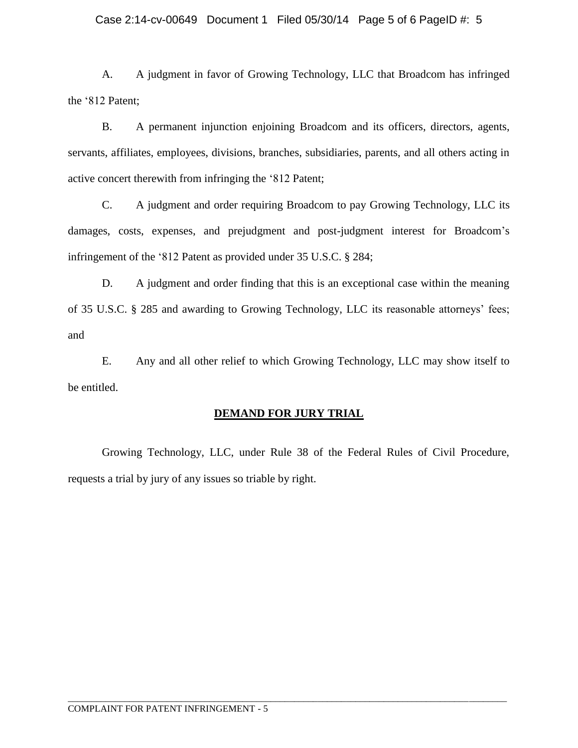### Case 2:14-cv-00649 Document 1 Filed 05/30/14 Page 5 of 6 PageID #: 5

A. A judgment in favor of Growing Technology, LLC that Broadcom has infringed the '812 Patent;

B. A permanent injunction enjoining Broadcom and its officers, directors, agents, servants, affiliates, employees, divisions, branches, subsidiaries, parents, and all others acting in active concert therewith from infringing the '812 Patent;

C. A judgment and order requiring Broadcom to pay Growing Technology, LLC its damages, costs, expenses, and prejudgment and post-judgment interest for Broadcom's infringement of the '812 Patent as provided under 35 U.S.C. § 284;

D. A judgment and order finding that this is an exceptional case within the meaning of 35 U.S.C. § 285 and awarding to Growing Technology, LLC its reasonable attorneys' fees; and

E. Any and all other relief to which Growing Technology, LLC may show itself to be entitled.

### **DEMAND FOR JURY TRIAL**

Growing Technology, LLC, under Rule 38 of the Federal Rules of Civil Procedure, requests a trial by jury of any issues so triable by right.